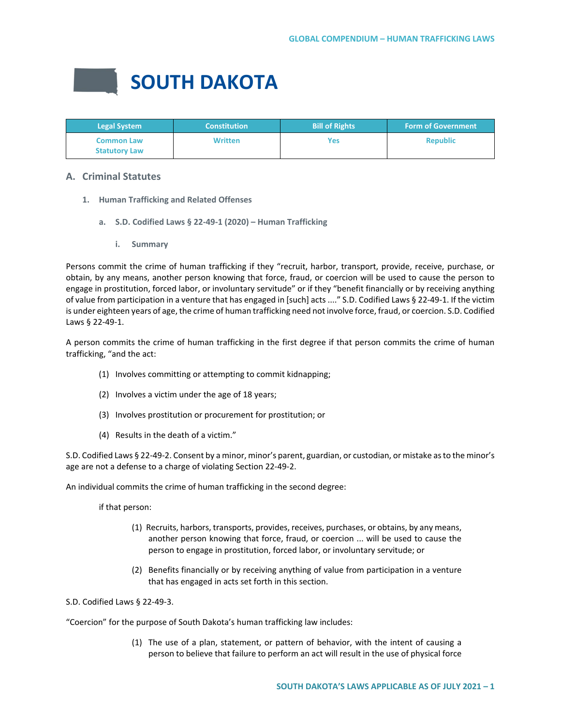# **SOUTH DAKOTA**

| <b>Legal System</b>                       | <b>Constitution</b> | <b>Bill of Rights</b> | <b>Form of Government</b> |
|-------------------------------------------|---------------------|-----------------------|---------------------------|
| <b>Common Law</b><br><b>Statutory Law</b> | <b>Written</b>      | Yes                   | <b>Republic</b>           |

# **A. Criminal Statutes**

- **1. Human Trafficking and Related Offenses**
	- **a. S.D. Codified Laws § 22-49-1 (2020) – Human Trafficking**
		- **i. Summary**

Persons commit the crime of human trafficking if they "recruit, harbor, transport, provide, receive, purchase, or obtain, by any means, another person knowing that force, fraud, or coercion will be used to cause the person to engage in prostitution, forced labor, or involuntary servitude" or if they "benefit financially or by receiving anything of value from participation in a venture that has engaged in [such] acts ...." S.D. Codified Laws § 22-49-1. If the victim is under eighteen years of age, the crime of human trafficking need not involve force, fraud, or coercion. S.D. Codified Laws § 22-49-1.

A person commits the crime of human trafficking in the first degree if that person commits the crime of human trafficking, "and the act:

- (1) Involves committing or attempting to commit kidnapping;
- (2) Involves a victim under the age of 18 years;
- (3) Involves prostitution or procurement for prostitution; or
- (4) Results in the death of a victim."

S.D. Codified Laws § 22-49-2. Consent by a minor, minor's parent, guardian, or custodian, or mistake as to the minor's age are not a defense to a charge of violating Section 22-49-2.

An individual commits the crime of human trafficking in the second degree:

if that person:

- (1) Recruits, harbors, transports, provides, receives, purchases, or obtains, by any means, another person knowing that force, fraud, or coercion ... will be used to cause the person to engage in prostitution, forced labor, or involuntary servitude; or
- (2) Benefits financially or by receiving anything of value from participation in a venture that has engaged in acts set forth in this section.

S.D. Codified Laws § 22-49-3.

"Coercion" for the purpose of South Dakota's human trafficking law includes:

(1) The use of a plan, statement, or pattern of behavior, with the intent of causing a person to believe that failure to perform an act will result in the use of physical force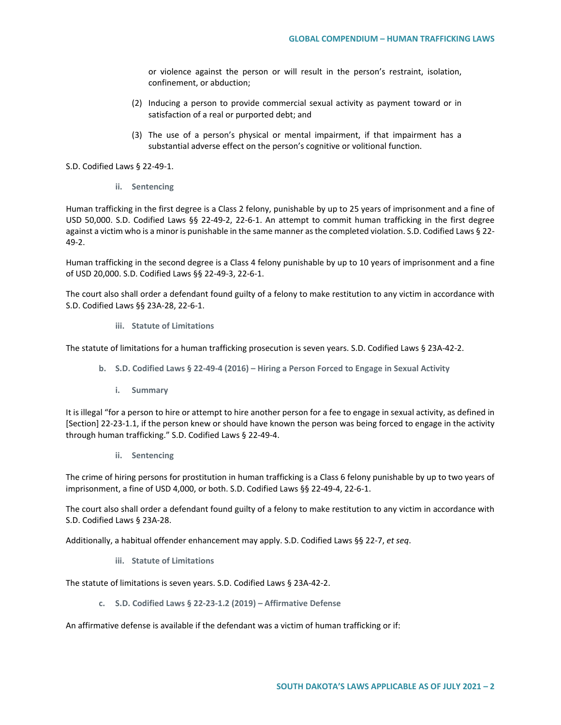or violence against the person or will result in the person's restraint, isolation, confinement, or abduction;

- (2) Inducing a person to provide commercial sexual activity as payment toward or in satisfaction of a real or purported debt; and
- (3) The use of a person's physical or mental impairment, if that impairment has a substantial adverse effect on the person's cognitive or volitional function.

#### S.D. Codified Laws § 22-49-1.

**ii. Sentencing**

Human trafficking in the first degree is a Class 2 felony, punishable by up to 25 years of imprisonment and a fine of USD 50,000. S.D. Codified Laws §§ 22-49-2, 22-6-1. An attempt to commit human trafficking in the first degree against a victim who is a minor is punishable in the same manner as the completed violation. S.D. Codified Laws § 22- 49-2.

Human trafficking in the second degree is a Class 4 felony punishable by up to 10 years of imprisonment and a fine of USD 20,000. S.D. Codified Laws §§ 22-49-3, 22-6-1.

The court also shall order a defendant found guilty of a felony to make restitution to any victim in accordance with S.D. Codified Laws §§ 23A-28, 22-6-1.

### **iii. Statute of Limitations**

The statute of limitations for a human trafficking prosecution is seven years. S.D. Codified Laws § 23A-42-2.

- **b. S.D. Codified Laws § 22-49-4 (2016) – Hiring a Person Forced to Engage in Sexual Activity**
	- **i. Summary**

It is illegal "for a person to hire or attempt to hire another person for a fee to engage in sexual activity, as defined in [Section] 22-23-1.1, if the person knew or should have known the person was being forced to engage in the activity through human trafficking." S.D. Codified Laws § 22-49-4.

**ii. Sentencing**

The crime of hiring persons for prostitution in human trafficking is a Class 6 felony punishable by up to two years of imprisonment, a fine of USD 4,000, or both. S.D. Codified Laws §§ 22-49-4, 22-6-1.

The court also shall order a defendant found guilty of a felony to make restitution to any victim in accordance with S.D. Codified Laws § 23A-28.

Additionally, a habitual offender enhancement may apply. S.D. Codified Laws §§ 22-7, *et seq*.

**iii. Statute of Limitations** 

The statute of limitations is seven years. S.D. Codified Laws § 23A-42-2.

**c. S.D. Codified Laws § 22-23-1.2 (2019) – Affirmative Defense**

An affirmative defense is available if the defendant was a victim of human trafficking or if: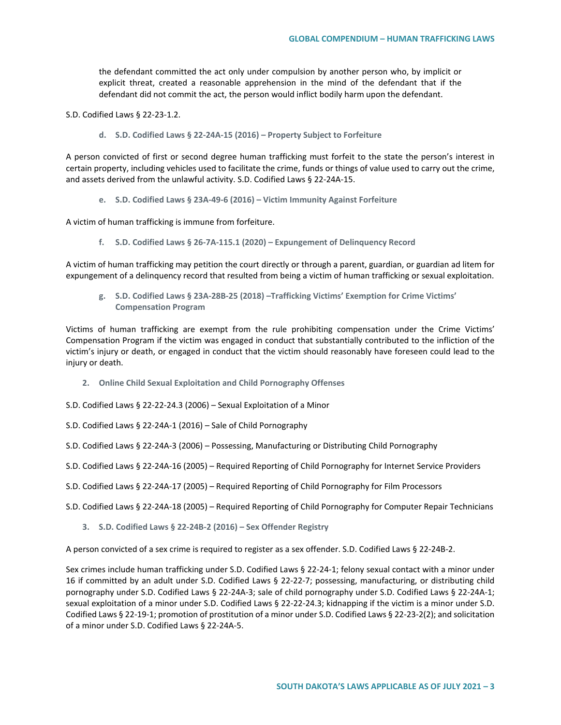the defendant committed the act only under compulsion by another person who, by implicit or explicit threat, created a reasonable apprehension in the mind of the defendant that if the defendant did not commit the act, the person would inflict bodily harm upon the defendant.

S.D. Codified Laws § 22-23-1.2.

**d. S.D. Codified Laws § 22-24A-15 (2016) – Property Subject to Forfeiture**

A person convicted of first or second degree human trafficking must forfeit to the state the person's interest in certain property, including vehicles used to facilitate the crime, funds or things of value used to carry out the crime, and assets derived from the unlawful activity. S.D. Codified Laws § 22-24A-15.

**e. S.D. Codified Laws § 23A-49-6 (2016) – Victim Immunity Against Forfeiture** 

A victim of human trafficking is immune from forfeiture.

**f. S.D. Codified Laws § 26-7A-115.1 (2020) – Expungement of Delinquency Record** 

A victim of human trafficking may petition the court directly or through a parent, guardian, or guardian ad litem for expungement of a delinquency record that resulted from being a victim of human trafficking or sexual exploitation.

**g. S.D. Codified Laws § 23A-28B-25 (2018) –Trafficking Victims' Exemption for Crime Victims' Compensation Program**

Victims of human trafficking are exempt from the rule prohibiting compensation under the Crime Victims' Compensation Program if the victim was engaged in conduct that substantially contributed to the infliction of the victim's injury or death, or engaged in conduct that the victim should reasonably have foreseen could lead to the injury or death.

**2. Online Child Sexual Exploitation and Child Pornography Offenses** 

S.D. Codified Laws § 22-22-24.3 (2006) – Sexual Exploitation of a Minor

- S.D. Codified Laws § 22-24A-1 (2016) Sale of Child Pornography
- S.D. Codified Laws § 22-24A-3 (2006) Possessing, Manufacturing or Distributing Child Pornography
- S.D. Codified Laws § 22-24A-16 (2005) Required Reporting of Child Pornography for Internet Service Providers
- S.D. Codified Laws § 22-24A-17 (2005) Required Reporting of Child Pornography for Film Processors
- S.D. Codified Laws § 22-24A-18 (2005) Required Reporting of Child Pornography for Computer Repair Technicians
	- **3. S.D. Codified Laws § 22-24B-2 (2016) – Sex Offender Registry**

A person convicted of a sex crime is required to register as a sex offender. S.D. Codified Laws § 22-24B-2.

Sex crimes include human trafficking under S.D. Codified Laws § 22-24-1; felony sexual contact with a minor under 16 if committed by an adult under S.D. Codified Laws § 22-22-7; possessing, manufacturing, or distributing child pornography under S.D. Codified Laws § 22-24A-3; sale of child pornography under S.D. Codified Laws § 22-24A-1; sexual exploitation of a minor under S.D. Codified Laws § 22-22-24.3; kidnapping if the victim is a minor under S.D. Codified Laws § 22-19-1; promotion of prostitution of a minor under S.D. Codified Laws § 22-23-2(2); and solicitation of a minor under S.D. Codified Laws § 22-24A-5.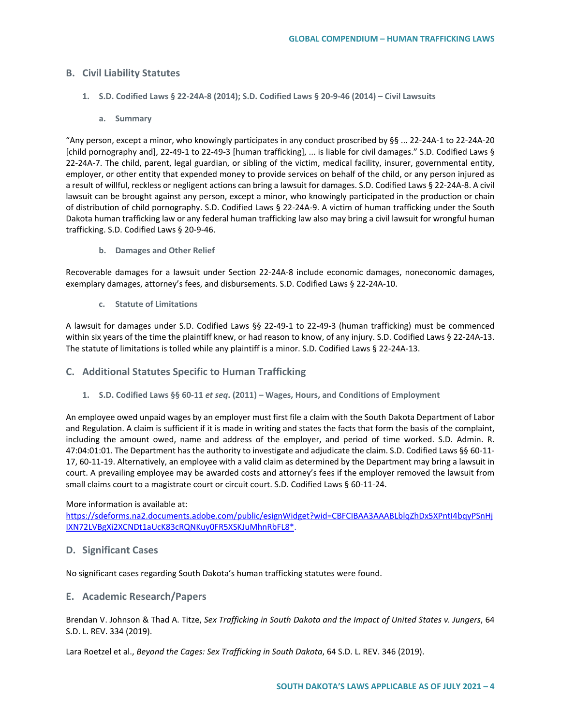# **B. Civil Liability Statutes**

- **1. S.D. Codified Laws § 22-24A-8 (2014); S.D. Codified Laws § 20-9-46 (2014) – Civil Lawsuits**
	- **a. Summary**

"Any person, except a minor, who knowingly participates in any conduct proscribed by §§ ... 22-24A-1 to 22-24A-20 [child pornography and], 22-49-1 to 22-49-3 [human trafficking], ... is liable for civil damages." S.D. Codified Laws § 22-24A-7. The child, parent, legal guardian, or sibling of the victim, medical facility, insurer, governmental entity, employer, or other entity that expended money to provide services on behalf of the child, or any person injured as a result of willful, reckless or negligent actions can bring a lawsuit for damages. S.D. Codified Laws § 22-24A-8. A civil lawsuit can be brought against any person, except a minor, who knowingly participated in the production or chain of distribution of child pornography. S.D. Codified Laws § 22-24A-9. A victim of human trafficking under the South Dakota human trafficking law or any federal human trafficking law also may bring a civil lawsuit for wrongful human trafficking. S.D. Codified Laws § 20-9-46.

**b. Damages and Other Relief**

Recoverable damages for a lawsuit under Section 22-24A-8 include economic damages, noneconomic damages, exemplary damages, attorney's fees, and disbursements. S.D. Codified Laws § 22-24A-10.

**c. Statute of Limitations**

A lawsuit for damages under S.D. Codified Laws §§ 22-49-1 to 22-49-3 (human trafficking) must be commenced within six years of the time the plaintiff knew, or had reason to know, of any injury. S.D. Codified Laws § 22-24A-13. The statute of limitations is tolled while any plaintiff is a minor. S.D. Codified Laws § 22-24A-13.

# **C. Additional Statutes Specific to Human Trafficking**

**1. S.D. Codified Laws §§ 60-11** *et seq***. (2011) – Wages, Hours, and Conditions of Employment**

An employee owed unpaid wages by an employer must first file a claim with the South Dakota Department of Labor and Regulation. A claim is sufficient if it is made in writing and states the facts that form the basis of the complaint, including the amount owed, name and address of the employer, and period of time worked. S.D. Admin. R. 47:04:01:01. The Department has the authority to investigate and adjudicate the claim. S.D. Codified Laws §§ 60-11- 17, 60-11-19. Alternatively, an employee with a valid claim as determined by the Department may bring a lawsuit in court. A prevailing employee may be awarded costs and attorney's fees if the employer removed the lawsuit from small claims court to a magistrate court or circuit court. S.D. Codified Laws § 60-11-24.

## More information is available at:

[https://sdeforms.na2.documents.adobe.com/public/esignWidget?wid=CBFCIBAA3AAABLblqZhDx5XPntI4bqyPSnHj](https://sdeforms.na2.documents.adobe.com/public/esignWidget?wid=CBFCIBAA3AAABLblqZhDx5XPntI4bqyPSnHjIXN72LVBgXi2XCNDt1aUcK83cRQNKuy0FR5XSKJuMhnRbFL8*) [IXN72LVBgXi2XCNDt1aUcK83cRQNKuy0FR5XSKJuMhnRbFL8\\*.](https://sdeforms.na2.documents.adobe.com/public/esignWidget?wid=CBFCIBAA3AAABLblqZhDx5XPntI4bqyPSnHjIXN72LVBgXi2XCNDt1aUcK83cRQNKuy0FR5XSKJuMhnRbFL8*)

# **D. Significant Cases**

No significant cases regarding South Dakota's human trafficking statutes were found.

# **E. Academic Research/Papers**

Brendan V. Johnson & Thad A. Titze, *Sex Trafficking in South Dakota and the Impact of United States v. Jungers*, 64 S.D. L. REV. 334 (2019).

Lara Roetzel et al., *Beyond the Cages: Sex Trafficking in South Dakota*, 64 S.D. L. REV. 346 (2019).